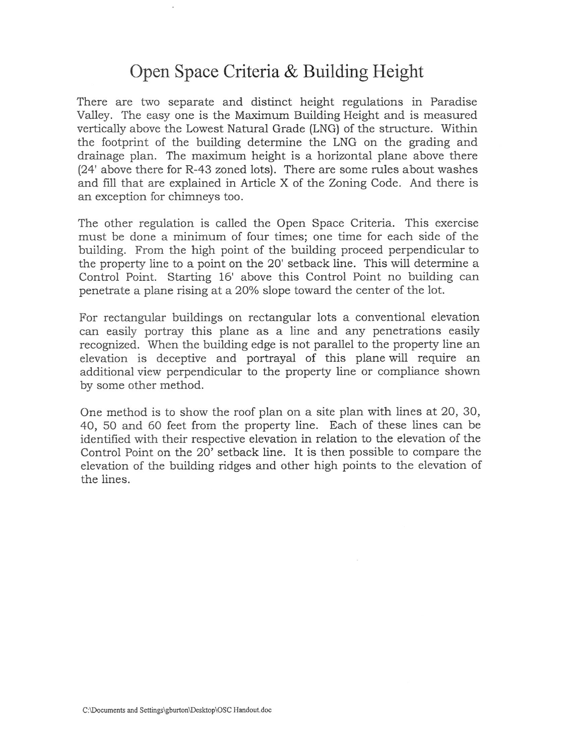## Open Space Criteria & Building Height

There are two separate and distinct height regulations in Paradise Valley. The easy one is the Maximum Building Height and is measured vertically above the Lowest Natural Grade (LNG) of the structure. Within the footprint of the building determine the LNG on the grading and drainage plan. The maximum height is a horizontal plane above there (24' above there for R-43 zoned lots). There are some rules about washes and fill that are explained in Article X of the Zoning Code. And there is an exception for chimneys too.

The other regulation is called the Open Space Criteria. This exercise must be done a minimum of four times; one time for each side of the building. From the high point of the building proceed perpendicular to the property line to a point on the 20' setback line. This will determine a Control Point. Starting 16' above this Control Point no building can penetrate a plane rising at a 20% slope toward the center of the lot.

For rectangular buildings on rectangular lots a conventional elevation can easily portray this plane as a line and any penetrations easily recognized. When the building edge is not parallel to the property line an elevation is deceptive and portrayal of this plane will require an additional view perpendicular to the property line or compliance shown by some other method.

One method is to show the roof plan on a site plan with lines at 20, 30, 40, 50 and 60 feet from the property line. Each of these lines can be identified with their respective elevation in relation to the elevation of the Control Point on the 20' setback line. It is then possible to compare the elevation of the building ridges and other high points to the elevation of the lines.